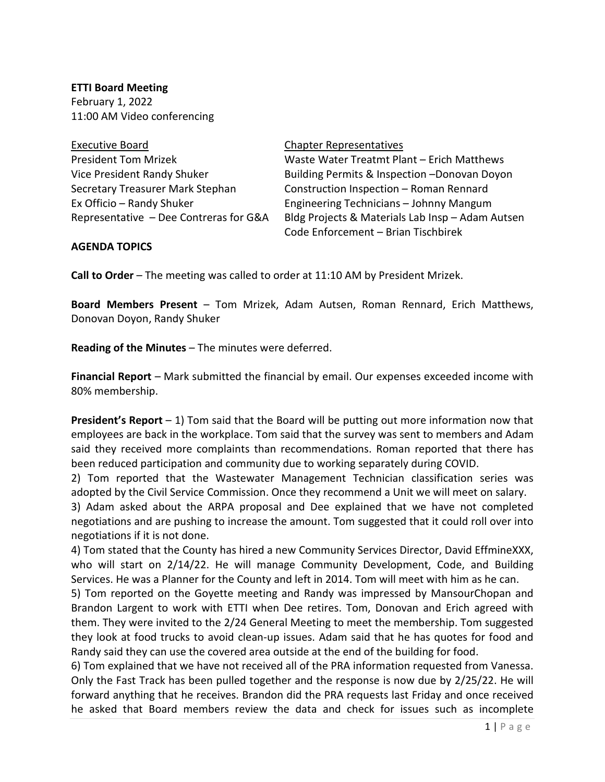**ETTI Board Meeting** February 1, 2022 11:00 AM Video conferencing

| <b>Executive Board</b>                 |
|----------------------------------------|
| <b>President Tom Mrizek</b>            |
| Vice President Randy Shuker            |
| Secretary Treasurer Mark Stephan       |
| Ex Officio – Randy Shuker              |
| Representative - Dee Contreras for G&A |
|                                        |

## Chapter Representatives

Waste Water Treatmt Plant – Erich Matthews Building Permits & Inspection –Donovan Doyon Construction Inspection – Roman Rennard Engineering Technicians – Johnny Mangum Bldg Projects & Materials Lab Insp – Adam Autsen Code Enforcement – Brian Tischbirek

## **AGENDA TOPICS**

**Call to Order** – The meeting was called to order at 11:10 AM by President Mrizek.

**Board Members Present** – Tom Mrizek, Adam Autsen, Roman Rennard, Erich Matthews, Donovan Doyon, Randy Shuker

**Reading of the Minutes** – The minutes were deferred.

**Financial Report** – Mark submitted the financial by email. Our expenses exceeded income with 80% membership.

**President's Report** – 1) Tom said that the Board will be putting out more information now that employees are back in the workplace. Tom said that the survey was sent to members and Adam said they received more complaints than recommendations. Roman reported that there has been reduced participation and community due to working separately during COVID.

2) Tom reported that the Wastewater Management Technician classification series was adopted by the Civil Service Commission. Once they recommend a Unit we will meet on salary.

3) Adam asked about the ARPA proposal and Dee explained that we have not completed negotiations and are pushing to increase the amount. Tom suggested that it could roll over into negotiations if it is not done.

4) Tom stated that the County has hired a new Community Services Director, David EffmineXXX, who will start on 2/14/22. He will manage Community Development, Code, and Building Services. He was a Planner for the County and left in 2014. Tom will meet with him as he can.

5) Tom reported on the Goyette meeting and Randy was impressed by MansourChopan and Brandon Largent to work with ETTI when Dee retires. Tom, Donovan and Erich agreed with them. They were invited to the 2/24 General Meeting to meet the membership. Tom suggested they look at food trucks to avoid clean-up issues. Adam said that he has quotes for food and Randy said they can use the covered area outside at the end of the building for food.

6) Tom explained that we have not received all of the PRA information requested from Vanessa. Only the Fast Track has been pulled together and the response is now due by 2/25/22. He will forward anything that he receives. Brandon did the PRA requests last Friday and once received he asked that Board members review the data and check for issues such as incomplete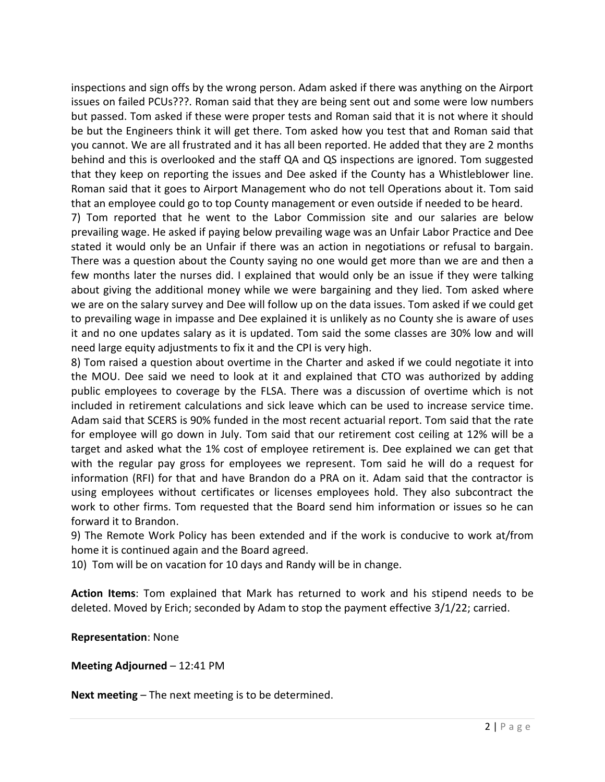inspections and sign offs by the wrong person. Adam asked if there was anything on the Airport issues on failed PCUs???. Roman said that they are being sent out and some were low numbers but passed. Tom asked if these were proper tests and Roman said that it is not where it should be but the Engineers think it will get there. Tom asked how you test that and Roman said that you cannot. We are all frustrated and it has all been reported. He added that they are 2 months behind and this is overlooked and the staff QA and QS inspections are ignored. Tom suggested that they keep on reporting the issues and Dee asked if the County has a Whistleblower line. Roman said that it goes to Airport Management who do not tell Operations about it. Tom said that an employee could go to top County management or even outside if needed to be heard.

7) Tom reported that he went to the Labor Commission site and our salaries are below prevailing wage. He asked if paying below prevailing wage was an Unfair Labor Practice and Dee stated it would only be an Unfair if there was an action in negotiations or refusal to bargain. There was a question about the County saying no one would get more than we are and then a few months later the nurses did. I explained that would only be an issue if they were talking about giving the additional money while we were bargaining and they lied. Tom asked where we are on the salary survey and Dee will follow up on the data issues. Tom asked if we could get to prevailing wage in impasse and Dee explained it is unlikely as no County she is aware of uses it and no one updates salary as it is updated. Tom said the some classes are 30% low and will need large equity adjustments to fix it and the CPI is very high.

8) Tom raised a question about overtime in the Charter and asked if we could negotiate it into the MOU. Dee said we need to look at it and explained that CTO was authorized by adding public employees to coverage by the FLSA. There was a discussion of overtime which is not included in retirement calculations and sick leave which can be used to increase service time. Adam said that SCERS is 90% funded in the most recent actuarial report. Tom said that the rate for employee will go down in July. Tom said that our retirement cost ceiling at 12% will be a target and asked what the 1% cost of employee retirement is. Dee explained we can get that with the regular pay gross for employees we represent. Tom said he will do a request for information (RFI) for that and have Brandon do a PRA on it. Adam said that the contractor is using employees without certificates or licenses employees hold. They also subcontract the work to other firms. Tom requested that the Board send him information or issues so he can forward it to Brandon.

9) The Remote Work Policy has been extended and if the work is conducive to work at/from home it is continued again and the Board agreed.

10) Tom will be on vacation for 10 days and Randy will be in change.

**Action Items**: Tom explained that Mark has returned to work and his stipend needs to be deleted. Moved by Erich; seconded by Adam to stop the payment effective 3/1/22; carried.

**Representation**: None

**Meeting Adjourned** – 12:41 PM

**Next meeting** – The next meeting is to be determined.